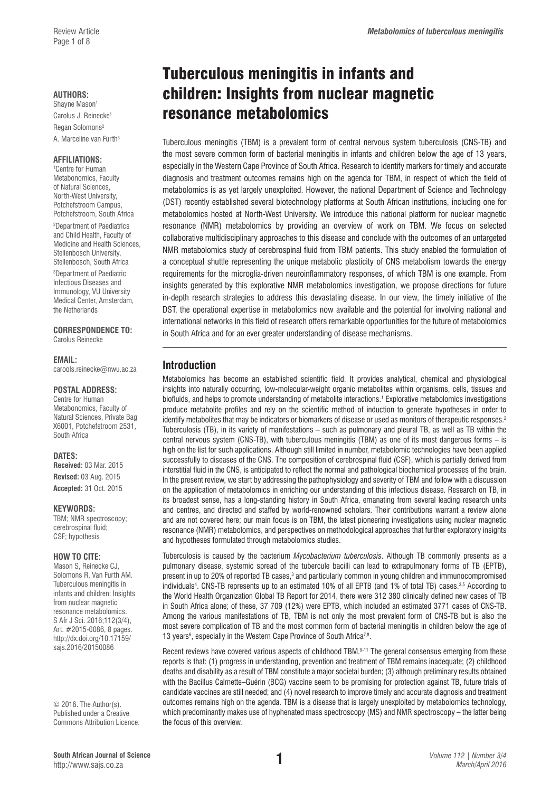#### **AUTHORS:**

Shayne Mason<sup>1</sup> Carolus J. Reinecke<sup>1</sup> Regan Solomons<sup>2</sup> A. Marceline van Furth<sup>3</sup>

#### **AFFILIATIONS:**

1 Centre for Human Metabonomics, Faculty of Natural Sciences, North-West University, Potchefstroom Campus, Potchefstroom, South Africa 2 Department of Paediatrics and Child Health, Faculty of Medicine and Health Sciences, Stellenbosch University, Stellenbosch, South Africa

3 Department of Paediatric Infectious Diseases and Immunology, VU University Medical Center, Amsterdam, the Netherlands

**CORRESPONDENCE TO:**  Carolus Reinecke

#### **EMAIL:**

[carools.reinecke@nwu.ac.za](mailto:carools.reinecke@nwu.ac.za)

#### **POSTAL ADDRESS:**

Centre for Human Metabonomics, Faculty of Natural Sciences, Private Bag X6001, Potchefstroom 2531, South Africa

#### **DATES:**

**Received:** 03 Mar. 2015 **Revised:** 03 Aug. 2015 **Accepted:** 31 Oct. 2015

#### **KEYWORDS:**

TBM; NMR spectroscopy; cerebrospinal fluid; CSF; hypothesis

#### **HOW TO CITE:**

Mason S, Reinecke CJ, Solomons R, Van Furth AM. Tuberculous meningitis in infants and children: Insights from nuclear magnetic resonance metabolomics. S Afr J Sci. 2016;112(3/4), Art. #2015-0086, 8 pages. [http://dx.doi.org/10.17159/](http://dx.doi.org/10.17159/sajs.2016/20150086) [sajs.2016/20150086](http://dx.doi.org/10.17159/sajs.2016/20150086)

© 2016. The Author(s). Published under a Creative Commons Attribution Licence.

# Tuberculous meningitis in infants and children: Insights from nuclear magnetic resonance metabolomics

Tuberculous meningitis (TBM) is a prevalent form of central nervous system tuberculosis (CNS-TB) and the most severe common form of bacterial meningitis in infants and children below the age of 13 years, especially in the Western Cape Province of South Africa. Research to identify markers for timely and accurate diagnosis and treatment outcomes remains high on the agenda for TBM, in respect of which the field of metabolomics is as yet largely unexploited. However, the national Department of Science and Technology (DST) recently established several biotechnology platforms at South African institutions, including one for metabolomics hosted at North-West University. We introduce this national platform for nuclear magnetic resonance (NMR) metabolomics by providing an overview of work on TBM. We focus on selected collaborative multidisciplinary approaches to this disease and conclude with the outcomes of an untargeted NMR metabolomics study of cerebrospinal fluid from TBM patients. This study enabled the formulation of a conceptual shuttle representing the unique metabolic plasticity of CNS metabolism towards the energy requirements for the microglia-driven neuroinflammatory responses, of which TBM is one example. From insights generated by this explorative NMR metabolomics investigation, we propose directions for future in-depth research strategies to address this devastating disease. In our view, the timely initiative of the DST, the operational expertise in metabolomics now available and the potential for involving national and international networks in this field of research offers remarkable opportunities for the future of metabolomics in South Africa and for an ever greater understanding of disease mechanisms.

## **Introduction**

Metabolomics has become an established scientific field. It provides analytical, chemical and physiological insights into naturally occurring, low-molecular-weight organic metabolites within organisms, cells, tissues and biofluids, and helps to promote understanding of metabolite interactions.<sup>1</sup> Explorative metabolomics investigations produce metabolite profiles and rely on the scientific method of induction to generate hypotheses in order to identify metabolites that may be indicators or biomarkers of disease or used as monitors of therapeutic responses.<sup>2</sup> Tuberculosis (TB), in its variety of manifestations – such as pulmonary and pleural TB, as well as TB within the central nervous system (CNS-TB), with tuberculous meningitis (TBM) as one of its most dangerous forms – is high on the list for such applications. Although still limited in number, metabolomic technologies have been applied successfully to diseases of the CNS. The composition of cerebrospinal fluid (CSF), which is partially derived from interstitial fluid in the CNS, is anticipated to reflect the normal and pathological biochemical processes of the brain. In the present review, we start by addressing the pathophysiology and severity of TBM and follow with a discussion on the application of metabolomics in enriching our understanding of this infectious disease. Research on TB, in its broadest sense, has a long-standing history in South Africa, emanating from several leading research units and centres, and directed and staffed by world-renowned scholars. Their contributions warrant a review alone and are not covered here; our main focus is on TBM, the latest pioneering investigations using nuclear magnetic resonance (NMR) metabolomics, and perspectives on methodological approaches that further exploratory insights and hypotheses formulated through metabolomics studies.

Tuberculosis is caused by the bacterium *Mycobacterium tuberculosis*. Although TB commonly presents as a pulmonary disease, systemic spread of the tubercule bacilli can lead to extrapulmonary forms of TB (EPTB), present in up to 20% of reported TB cases,<sup>3</sup> and particularly common in young children and immunocompromised individuals<sup>4</sup>. CNS-TB represents up to an estimated 10% of all EPTB (and 1% of total TB) cases.<sup>3,5</sup> According to the World Health Organization Global TB Report for 2014, there were 312 380 clinically defined new cases of TB in South Africa alone; of these, 37 709 (12%) were EPTB, which included an estimated 3771 cases of CNS-TB. Among the various manifestations of TB, TBM is not only the most prevalent form of CNS-TB but is also the most severe complication of TB and the most common form of bacterial meningitis in children below the age of 13 years<sup>6</sup>, especially in the Western Cape Province of South Africa<sup>7,8</sup>.

Recent reviews have covered various aspects of childhood TBM.9-11 The general consensus emerging from these reports is that: (1) progress in understanding, prevention and treatment of TBM remains inadequate; (2) childhood deaths and disability as a result of TBM constitute a major societal burden; (3) although preliminary results obtained with the Bacillus Calmette–Guérin (BCG) vaccine seem to be promising for protection against TB, future trials of candidate vaccines are still needed; and (4) novel research to improve timely and accurate diagnosis and treatment outcomes remains high on the agenda. TBM is a disease that is largely unexploited by metabolomics technology, which predominantly makes use of hyphenated mass spectroscopy (MS) and NMR spectroscopy – the latter being the focus of this overview.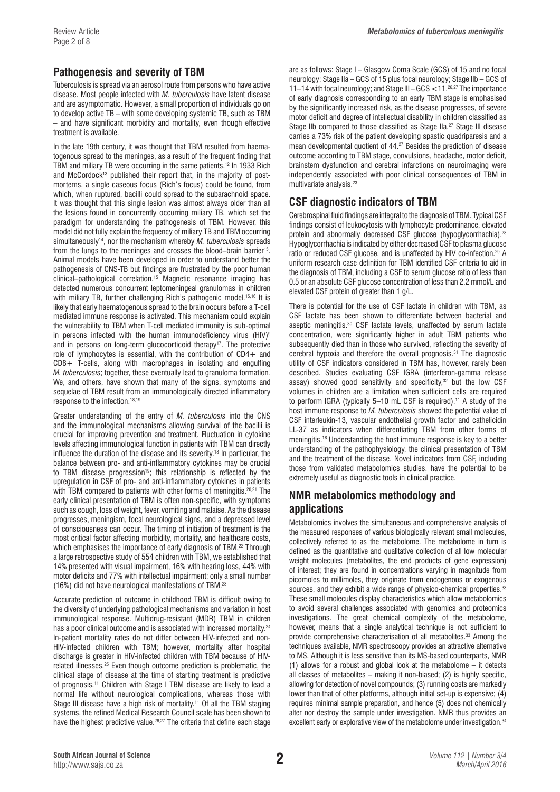# **Pathogenesis and severity of TBM**

Tuberculosis is spread via an aerosol route from persons who have active disease. Most people infected with *M. tuberculosis* have latent disease and are asymptomatic. However, a small proportion of individuals go on to develop active TB – with some developing systemic TB, such as TBM – and have significant morbidity and mortality, even though effective treatment is available.

In the late 19th century, it was thought that TBM resulted from haematogenous spread to the meninges, as a result of the frequent finding that TBM and miliary TB were occurring in the same patients.<sup>12</sup> In 1933 Rich and McCordock<sup>13</sup> published their report that, in the majority of postmortems, a single caseous focus (Rich's focus) could be found, from which, when ruptured, bacilli could spread to the subarachnoid space. It was thought that this single lesion was almost always older than all the lesions found in concurrently occurring miliary TB, which set the paradigm for understanding the pathogenesis of TBM. However, this model did not fully explain the frequency of miliary TB and TBM occurring simultaneously14, nor the mechanism whereby *M. tuberculosis* spreads from the lungs to the meninges and crosses the blood–brain barrier<sup>15</sup>. Animal models have been developed in order to understand better the pathogenesis of CNS-TB but findings are frustrated by the poor human clinical–pathological correlation.15 Magnetic resonance imaging has detected numerous concurrent leptomeningeal granulomas in children with miliary TB, further challenging Rich's pathogenic model.<sup>15,16</sup> It is likely that early haematogenous spread to the brain occurs before a T-cell mediated immune response is activated. This mechanism could explain the vulnerability to TBM when T-cell mediated immunity is sub-optimal in persons infected with the human immunodeficiency virus  $(HIV)^9$ and in persons on long-term glucocorticoid therapy<sup>17</sup>. The protective role of lymphocytes is essential, with the contribution of  $CD4+$  and CD8+ T-cells, along with macrophages in isolating and engulfing *M. tuberculosis*; together, these eventually lead to granuloma formation*.* We, and others, have shown that many of the signs, symptoms and sequelae of TBM result from an immunologically directed inflammatory response to the infection.<sup>18,19</sup>

Greater understanding of the entry of *M. tuberculosis* into the CNS and the immunological mechanisms allowing survival of the bacilli is crucial for improving prevention and treatment. Fluctuation in cytokine levels affecting immunological function in patients with TBM can directly influence the duration of the disease and its severity.18 In particular, the balance between pro- and anti-inflammatory cytokines may be crucial to TBM disease progression<sup>19</sup>; this relationship is reflected by the upregulation in CSF of pro- and anti-inflammatory cytokines in patients with TBM compared to patients with other forms of meningitis.<sup>20,21</sup> The early clinical presentation of TBM is often non-specific, with symptoms such as cough, loss of weight, fever, vomiting and malaise. As the disease progresses, meningism, focal neurological signs, and a depressed level of consciousness can occur. The timing of initiation of treatment is the most critical factor affecting morbidity, mortality, and healthcare costs, which emphasises the importance of early diagnosis of TBM.<sup>22</sup> Through a large retrospective study of 554 children with TBM, we established that 14% presented with visual impairment, 16% with hearing loss, 44% with motor deficits and 77% with intellectual impairment; only a small number (16%) did not have neurological manifestations of TBM.23

Accurate prediction of outcome in childhood TBM is difficult owing to the diversity of underlying pathological mechanisms and variation in host immunological response. Multidrug-resistant (MDR) TBM in children has a poor clinical outcome and is associated with increased mortality.<sup>24</sup> In-patient mortality rates do not differ between HIV-infected and non-HIV-infected children with TBM; however, mortality after hospital discharge is greater in HIV-infected children with TBM because of HIVrelated illnesses.25 Even though outcome prediction is problematic, the clinical stage of disease at the time of starting treatment is predictive of prognosis.11 Children with Stage I TBM disease are likely to lead a normal life without neurological complications, whereas those with Stage III disease have a high risk of mortality.<sup>11</sup> Of all the TBM staging systems, the refined Medical Research Council scale has been shown to have the highest predictive value.<sup>26,27</sup> The criteria that define each stage

are as follows: Stage I – Glasgow Coma Scale (GCS) of 15 and no focal neurology; Stage IIa – GCS of 15 plus focal neurology; Stage IIb – GCS of 11–14 with focal neurology; and Stage III – GCS <11.26,27 The importance of early diagnosis corresponding to an early TBM stage is emphasised by the significantly increased risk, as the disease progresses, of severe motor deficit and degree of intellectual disability in children classified as Stage IIb compared to those classified as Stage IIa.<sup>27</sup> Stage III disease carries a 73% risk of the patient developing spastic quadriparesis and a mean developmental quotient of 44.27 Besides the prediction of disease outcome according to TBM stage, convulsions, headache, motor deficit, brainstem dysfunction and cerebral infarctions on neuroimaging were independently associated with poor clinical consequences of TBM in multivariate analysis.23

# **CSF diagnostic indicators of TBM**

Cerebrospinal fluid findings are integral to the diagnosis of TBM. Typical CSF findings consist of leukocytosis with lymphocyte predominance, elevated protein and abnormally decreased CSF glucose (hypoglycorrhachia).<sup>28</sup> Hypoglycorrhachia is indicated by either decreased CSF to plasma glucose ratio or reduced CSF glucose, and is unaffected by HIV co-infection.29 A uniform research case definition for TBM identified CSF criteria to aid in the diagnosis of TBM, including a CSF to serum glucose ratio of less than 0.5 or an absolute CSF glucose concentration of less than 2.2 mmol/L and elevated CSF protein of greater than 1 g/L.

There is potential for the use of CSF lactate in children with TBM, as CSF lactate has been shown to differentiate between bacterial and aseptic meningitis.30 CSF lactate levels, unaffected by serum lactate concentration, were significantly higher in adult TBM patients who subsequently died than in those who survived, reflecting the severity of cerebral hypoxia and therefore the overall prognosis.31 The diagnostic utility of CSF indicators considered in TBM has, however, rarely been described. Studies evaluating CSF IGRA (interferon-gamma release assay) showed good sensitivity and specificity,<sup>32</sup> but the low CSF volumes in children are a limitation when sufficient cells are required to perform IGRA (typically 5-10 mL CSF is required).<sup>11</sup> A study of the host immune response to *M. tuberculosis* showed the potential value of CSF interleukin-13, vascular endothelial growth factor and cathelicidin LL-37 as indicators when differentiating TBM from other forms of meningitis.18 Understanding the host immune response is key to a better understanding of the pathophysiology, the clinical presentation of TBM and the treatment of the disease. Novel indicators from CSF, including those from validated metabolomics studies, have the potential to be extremely useful as diagnostic tools in clinical practice.

# **NMR metabolomics methodology and applications**

Metabolomics involves the simultaneous and comprehensive analysis of the measured responses of various biologically relevant small molecules, collectively referred to as the metabolome. The metabolome in turn is defined as the quantitative and qualitative collection of all low molecular weight molecules (metabolites, the end products of gene expression) of interest; they are found in concentrations varying in magnitude from picomoles to millimoles, they originate from endogenous or exogenous sources, and they exhibit a wide range of physico-chemical properties.<sup>33</sup> These small molecules display characteristics which allow metabolomics to avoid several challenges associated with genomics and proteomics investigations. The great chemical complexity of the metabolome, however, means that a single analytical technique is not sufficient to provide comprehensive characterisation of all metabolites.33 Among the techniques available, NMR spectroscopy provides an attractive alternative to MS. Although it is less sensitive than its MS-based counterparts, NMR (1) allows for a robust and global look at the metabolome – it detects all classes of metabolites – making it non-biased; (2) is highly specific, allowing for detection of novel compounds; (3) running costs are markedly lower than that of other platforms, although initial set-up is expensive; (4) requires minimal sample preparation, and hence (5) does not chemically alter nor destroy the sample under investigation. NMR thus provides an excellent early or explorative view of the metabolome under investigation.<sup>34</sup>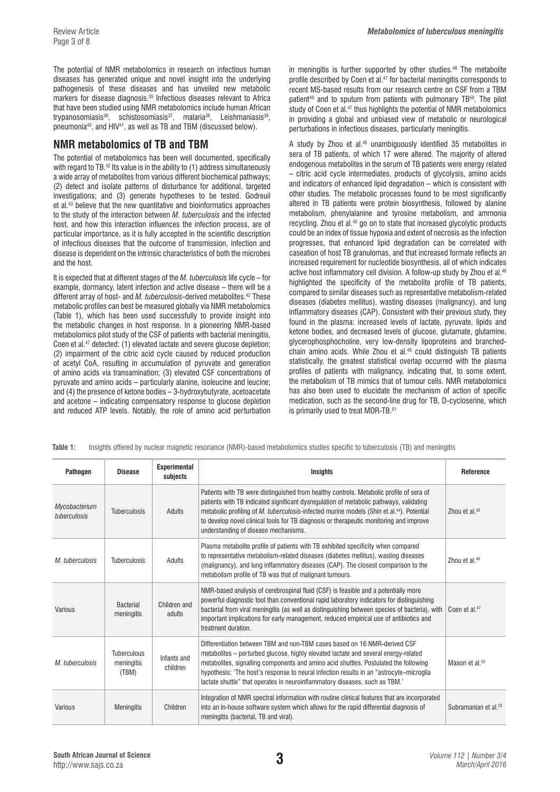The potential of NMR metabolomics in research on infectious human diseases has generated unique and novel insight into the underlying pathogenesis of these diseases and has unveiled new metabolic markers for disease diagnosis.35 Infectious diseases relevant to Africa that have been studied using NMR metabolomics include human African trypanosomiasis<sup>36</sup>, schistosomiasis<sup>37</sup>, malaria<sup>38</sup>, Leishmaniasis<sup>39</sup>, pneumonia40, and HIV41, as well as TB and TBM (discussed below).

# **NMR metabolomics of TB and TBM**

The potential of metabolomics has been well documented, specifically with regard to TB.<sup>42</sup> Its value is in the ability to (1) address simultaneously a wide array of metabolites from various different biochemical pathways; (2) detect and isolate patterns of disturbance for additional, targeted investigations; and (3) generate hypotheses to be tested. Godreuil et al.43 believe that the new quantitative and bioinformatics approaches to the study of the interaction between *M. tuberculosis* and the infected host, and how this interaction influences the infection process, are of particular importance, as it is fully accepted in the scientific description of infectious diseases that the outcome of transmission, infection and disease is dependent on the intrinsic characteristics of both the microbes and the host.

It is expected that at different stages of the *M. tuberculosis* life cycle – for example, dormancy, latent infection and active disease – there will be a different array of host- and *M. tuberculosis*-derived metabolites.42 These metabolic profiles can best be measured globally via NMR metabolomics (Table 1), which has been used successfully to provide insight into the metabolic changes in host response. In a pioneering NMR-based metabolomics pilot study of the CSF of patients with bacterial meningitis, Coen et al.47 detected: (1) elevated lactate and severe glucose depletion; (2) impairment of the citric acid cycle caused by reduced production of acetyl CoA, resulting in accumulation of pyruvate and generation of amino acids via transamination; (3) elevated CSF concentrations of pyruvate and amino acids – particularly alanine, isoleucine and leucine; and (4) the presence of ketone bodies – 3-hydroxybutyrate, acetoacetate and acetone – indicating compensatory response to glucose depletion and reduced ATP levels. Notably, the role of amino acid perturbation

in meningitis is further supported by other studies.<sup>48</sup> The metabolite profile described by Coen et al.47 for bacterial meningitis corresponds to recent MS-based results from our research centre on CSF from a TBM patient<sup>49</sup> and to sputum from patients with pulmonary TB<sup>50</sup>. The pilot study of Coen et al.<sup>47</sup> thus highlights the potential of NMR metabolomics in providing a global and unbiased view of metabolic or neurological perturbations in infectious diseases, particularly meningitis.

A study by Zhou et al.45 unambiguously identified 35 metabolites in sera of TB patients, of which 17 were altered. The majority of altered endogenous metabolites in the serum of TB patients were energy related – citric acid cycle intermediates, products of glycolysis, amino acids and indicators of enhanced lipid degradation – which is consistent with other studies. The metabolic processes found to be most significantly altered in TB patients were protein biosynthesis, followed by alanine metabolism, phenylalanine and tyrosine metabolism, and ammonia recycling. Zhou et al.45 go on to state that increased glycolytic products could be an index of tissue hypoxia and extent of necrosis as the infection progresses, that enhanced lipid degradation can be correlated with caseation of host TB granulomas, and that increased formate reflects an increased requirement for nucleotide biosynthesis, all of which indicates active host inflammatory cell division. A follow-up study by Zhou et al.46 highlighted the specificity of the metabolite profile of TB patients, compared to similar diseases such as representative metabolism-related diseases (diabetes mellitus), wasting diseases (malignancy), and lung inflammatory diseases (CAP). Consistent with their previous study, they found in the plasma: increased levels of lactate, pyruvate, lipids and ketone bodies, and decreased levels of glucose, glutamate, glutamine, glycerophosphocholine, very low-density lipoproteins and branchedchain amino acids. While Zhou et al.<sup>46</sup> could distinguish TB patients statistically, the greatest statistical overlap occurred with the plasma profiles of patients with malignancy, indicating that, to some extent, the metabolism of TB mimics that of tumour cells. NMR metabolomics has also been used to elucidate the mechanism of action of specific medication, such as the second-line drug for TB, D-cycloserine, which is primarily used to treat MDR-TB.<sup>51</sup>

| <b>Pathogen</b>               | <b>Disease</b>                     | <b>Experimental</b><br>subjects | <b>Insights</b>                                                                                                                                                                                                                                                                                                                                                                                                                      | Reference                        |
|-------------------------------|------------------------------------|---------------------------------|--------------------------------------------------------------------------------------------------------------------------------------------------------------------------------------------------------------------------------------------------------------------------------------------------------------------------------------------------------------------------------------------------------------------------------------|----------------------------------|
| Mycobacterium<br>tuberculosis | <b>Tuberculosis</b>                | Adults                          | Patients with TB were distinguished from healthy controls. Metabolic profile of sera of<br>patients with TB indicated significant dysregulation of metabolic pathways, validating<br>metabolic profiling of <i>M. tuberculosis</i> -infected murine models (Shin et al. <sup>44</sup> ). Potential<br>to develop novel clinical tools for TB diagnosis or therapeutic monitoring and improve<br>understanding of disease mechanisms. | Zhou et al. <sup>45</sup>        |
| M. tuberculosis               | <b>Tuberculosis</b>                | Adults                          | Plasma metabolite profile of patients with TB exhibited specificity when compared<br>to representative metabolism-related diseases (diabetes mellitus), wasting diseases<br>(malignancy), and lung inflammatory diseases (CAP). The closest comparison to the<br>metabolism profile of TB was that of malignant tumours.                                                                                                             | Zhou et al. <sup>46</sup>        |
| Various                       | <b>Bacterial</b><br>meningitis     | Children and<br>adults          | NMR-based analysis of cerebrospinal fluid (CSF) is feasible and a potentially more<br>powerful diagnostic tool than conventional rapid laboratory indicators for distinguishing<br>bacterial from viral meningitis (as well as distinguishing between species of bacteria), with<br>important implications for early management, reduced empirical use of antibiotics and<br>treatment duration.                                     | Coen et al. <sup>47</sup>        |
| M. tuberculosis               | Tuberculous<br>meningitis<br>(TBM) | Infants and<br>children         | Differentiation between TBM and non-TBM cases based on 16 NMR-derived CSF<br>metabolites - perturbed glucose, highly elevated lactate and several energy-related<br>metabolites, signalling components and amino acid shuttles. Postulated the following<br>hypothesis: 'The host's response to neural infection results in an "astrocyte-microglia<br>lactate shuttle" that operates in neuroinflammatory diseases, such as TBM."   | Mason et al. <sup>52</sup>       |
| Various                       | <b>Meningitis</b>                  | Children                        | Integration of NMR spectral information with routine clinical features that are incorporated<br>into an in-house software system which allows for the rapid differential diagnosis of<br>meningitis (bacterial, TB and viral).                                                                                                                                                                                                       | Subramanian et al. <sup>53</sup> |

**Table 1:** Insights offered by nuclear magnetic resonance (NMR)-based metabolomics studies specific to tuberculosis (TB) and meningitis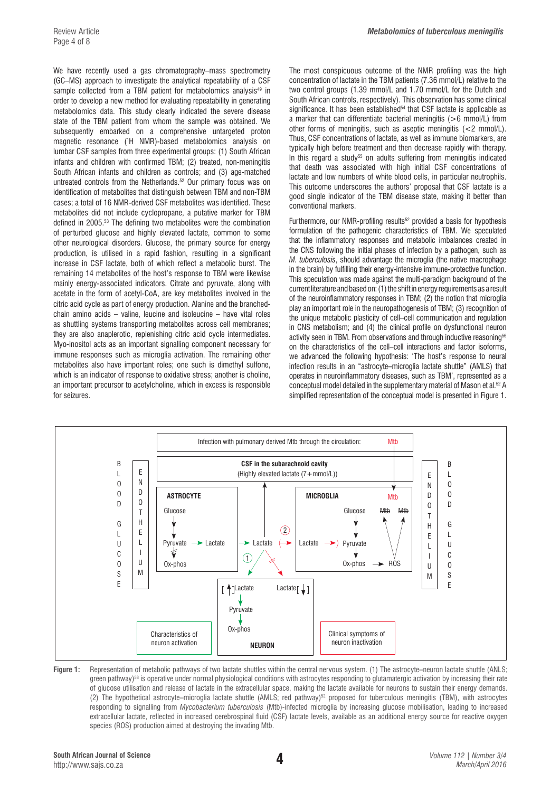Review Article *Metabolomics of tuberculous meningitis*

We have recently used a gas chromatography–mass spectrometry (GC–MS) approach to investigate the analytical repeatability of a CSF sample collected from a TBM patient for metabolomics analysis<sup>49</sup> in order to develop a new method for evaluating repeatability in generating metabolomics data. This study clearly indicated the severe disease state of the TBM patient from whom the sample was obtained. We subsequently embarked on a comprehensive untargeted proton magnetic resonance (1 H NMR)-based metabolomics analysis on lumbar CSF samples from three experimental groups: (1) South African infants and children with confirmed TBM; (2) treated, non-meningitis South African infants and children as controls; and (3) age-matched untreated controls from the Netherlands.<sup>52</sup> Our primary focus was on identification of metabolites that distinguish between TBM and non-TBM cases; a total of 16 NMR-derived CSF metabolites was identified. These metabolites did not include cyclopropane, a putative marker for TBM defined in 2005.53 The defining two metabolites were the combination of perturbed glucose and highly elevated lactate, common to some other neurological disorders. Glucose, the primary source for energy production, is utilised in a rapid fashion, resulting in a significant increase in CSF lactate, both of which reflect a metabolic burst. The remaining 14 metabolites of the host's response to TBM were likewise mainly energy-associated indicators. Citrate and pyruvate, along with acetate in the form of acetyl-CoA, are key metabolites involved in the citric acid cycle as part of energy production. Alanine and the branchedchain amino acids – valine, leucine and isoleucine – have vital roles as shuttling systems transporting metabolites across cell membranes; they are also anaplerotic, replenishing citric acid cycle intermediates. Myo-inositol acts as an important signalling component necessary for immune responses such as microglia activation. The remaining other metabolites also have important roles; one such is dimethyl sulfone, which is an indicator of response to oxidative stress; another is choline, an important precursor to acetylcholine, which in excess is responsible for seizures.

The most conspicuous outcome of the NMR profiling was the high concentration of lactate in the TBM patients (7.36 mmol/L) relative to the two control groups (1.39 mmol/L and 1.70 mmol/L for the Dutch and South African controls, respectively). This observation has some clinical significance. It has been established<sup>54</sup> that CSF lactate is applicable as a marker that can differentiate bacterial meningitis (>6 mmol/L) from other forms of meningitis, such as aseptic meningitis (<2 mmol/L). Thus, CSF concentrations of lactate, as well as immune biomarkers, are typically high before treatment and then decrease rapidly with therapy. In this regard a study<sup>55</sup> on adults suffering from meningitis indicated that death was associated with high initial CSF concentrations of lactate and low numbers of white blood cells, in particular neutrophils. This outcome underscores the authors' proposal that CSF lactate is a good single indicator of the TBM disease state, making it better than conventional markers.

Furthermore, our NMR-profiling results<sup>52</sup> provided a basis for hypothesis formulation of the pathogenic characteristics of TBM. We speculated that the inflammatory responses and metabolic imbalances created in the CNS following the initial phases of infection by a pathogen, such as *M. tuberculosis*, should advantage the microglia (the native macrophage in the brain) by fulfilling their energy-intensive immune-protective function. This speculation was made against the multi-paradigm background of the current literature and based on: (1) the shift in energy requirements as a result of the neuroinflammatory responses in TBM; (2) the notion that microglia play an important role in the neuropathogenesis of TBM; (3) recognition of the unique metabolic plasticity of cell–cell communication and regulation in CNS metabolism; and (4) the clinical profile on dysfunctional neuron activity seen in TBM. From observations and through inductive reasoning<sup>56</sup> on the characteristics of the cell–cell interactions and factor isoforms, we advanced the following hypothesis: 'The host's response to neural infection results in an "astrocyte–microglia lactate shuttle" (AMLS) that operates in neuroinflammatory diseases, such as TBM', represented as a conceptual model detailed in the supplementary material of Mason et al.52 A simplified representation of the conceptual model is presented in Figure 1.



Figure 1: Representation of metabolic pathways of two lactate shuttles within the central nervous system. (1) The astrocyte–neuron lactate shuttle (ANLS;  $q$  areen pathway)<sup>58</sup> is operative under normal physiological conditions with astrocytes responding to glutamatergic activation by increasing their rate of glucose utilisation and release of lactate in the extracellular space, making the lactate available for neurons to sustain their energy demands. (2) The hypothetical astrocyte–microglia lactate shuttle (AMLS; red pathway)<sup>52</sup> proposed for tuberculous meningitis (TBM), with astrocytes responding to signalling from *Mycobacterium tuberculosis* (Mtb)-infected microglia by increasing glucose mobilisation, leading to increased extracellular lactate, reflected in increased cerebrospinal fluid (CSF) lactate levels, available as an additional energy source for reactive oxygen species (ROS) production aimed at destroying the invading Mtb.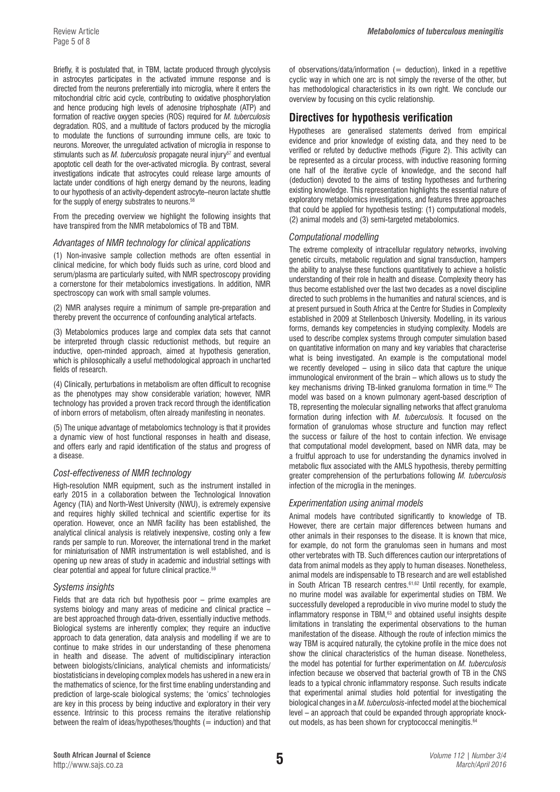Briefly, it is postulated that, in TBM, lactate produced through glycolysis in astrocytes participates in the activated immune response and is directed from the neurons preferentially into microglia, where it enters the mitochondrial citric acid cycle, contributing to oxidative phosphorylation and hence producing high levels of adenosine triphosphate (ATP) and formation of reactive oxygen species (ROS) required for *M. tuberculosis* degradation. ROS, and a multitude of factors produced by the microglia to modulate the functions of surrounding immune cells, are toxic to neurons. Moreover, the unregulated activation of microglia in response to stimulants such as *M. tuberculosis* propagate neural injury<sup>57</sup> and eventual apoptotic cell death for the over-activated microglia. By contrast, several investigations indicate that astrocytes could release large amounts of lactate under conditions of high energy demand by the neurons, leading to our hypothesis of an activity-dependent astrocyte–neuron lactate shuttle for the supply of energy substrates to neurons.58

From the preceding overview we highlight the following insights that have transpired from the NMR metabolomics of TB and TBM.

#### *Advantages of NMR technology for clinical applications*

(1) Non-invasive sample collection methods are often essential in clinical medicine, for which body fluids such as urine, cord blood and serum/plasma are particularly suited, with NMR spectroscopy providing a cornerstone for their metabolomics investigations. In addition, NMR spectroscopy can work with small sample volumes.

(2) NMR analyses require a minimum of sample pre-preparation and thereby prevent the occurrence of confounding analytical artefacts.

(3) Metabolomics produces large and complex data sets that cannot be interpreted through classic reductionist methods, but require an inductive, open-minded approach, aimed at hypothesis generation, which is philosophically a useful methodological approach in uncharted fields of research.

(4) Clinically, perturbations in metabolism are often difficult to recognise as the phenotypes may show considerable variation; however, NMR technology has provided a proven track record through the identification of inborn errors of metabolism, often already manifesting in neonates.

(5) The unique advantage of metabolomics technology is that it provides a dynamic view of host functional responses in health and disease, and offers early and rapid identification of the status and progress of a disease.

#### *Cost-effectiveness of NMR technology*

High-resolution NMR equipment, such as the instrument installed in early 2015 in a collaboration between the Technological Innovation Agency (TIA) and North-West University (NWU), is extremely expensive and requires highly skilled technical and scientific expertise for its operation. However, once an NMR facility has been established, the analytical clinical analysis is relatively inexpensive, costing only a few rands per sample to run. Moreover, the international trend in the market for miniaturisation of NMR instrumentation is well established, and is opening up new areas of study in academic and industrial settings with clear potential and appeal for future clinical practice.59

#### *Systems insights*

Fields that are data rich but hypothesis poor – prime examples are systems biology and many areas of medicine and clinical practice – are best approached through data-driven, essentially inductive methods. Biological systems are inherently complex; they require an inductive approach to data generation, data analysis and modelling if we are to continue to make strides in our understanding of these phenomena in health and disease. The advent of multidisciplinary interaction between biologists/clinicians, analytical chemists and informaticists/ biostatisticians in developing complex models has ushered in a new era in the mathematics of science, for the first time enabling understanding and prediction of large-scale biological systems; the 'omics' technologies are key in this process by being inductive and exploratory in their very essence. Intrinsic to this process remains the iterative relationship between the realm of ideas/hypotheses/thoughts  $(=$  induction) and that of observations/data/information  $($  = deduction), linked in a repetitive cyclic way in which one arc is not simply the reverse of the other, but has methodological characteristics in its own right. We conclude our overview by focusing on this cyclic relationship.

## **Directives for hypothesis verification**

Hypotheses are generalised statements derived from empirical evidence and prior knowledge of existing data, and they need to be verified or refuted by deductive methods (Figure 2). This activity can be represented as a circular process, with inductive reasoning forming one half of the iterative cycle of knowledge, and the second half (deduction) devoted to the aims of testing hypotheses and furthering existing knowledge. This representation highlights the essential nature of exploratory metabolomics investigations, and features three approaches that could be applied for hypothesis testing: (1) computational models, (2) animal models and (3) semi-targeted metabolomics.

#### *Computational modelling*

The extreme complexity of intracellular regulatory networks, involving genetic circuits, metabolic regulation and signal transduction, hampers the ability to analyse these functions quantitatively to achieve a holistic understanding of their role in health and disease. Complexity theory has thus become established over the last two decades as a novel discipline directed to such problems in the humanities and natural sciences, and is at present pursued in South Africa at the Centre for Studies in Complexity established in 2009 at Stellenbosch University. Modelling, in its various forms, demands key competencies in studying complexity. Models are used to describe complex systems through computer simulation based on quantitative information on many and key variables that characterise what is being investigated. An example is the computational model we recently developed – using in silico data that capture the unique immunological environment of the brain – which allows us to study the key mechanisms driving TB-linked granuloma formation in time.<sup>60</sup> The model was based on a known pulmonary agent-based description of TB, representing the molecular signalling networks that affect granuloma formation during infection with *M. tuberculosis.* It focused on the formation of granulomas whose structure and function may reflect the success or failure of the host to contain infection. We envisage that computational model development, based on NMR data, may be a fruitful approach to use for understanding the dynamics involved in metabolic flux associated with the AMLS hypothesis, thereby permitting greater comprehension of the perturbations following *M. tuberculosis* infection of the microglia in the meninges.

#### *Experimentation using animal models*

Animal models have contributed significantly to knowledge of TB. However, there are certain major differences between humans and other animals in their responses to the disease. It is known that mice, for example, do not form the granulomas seen in humans and most other vertebrates with TB. Such differences caution our interpretations of data from animal models as they apply to human diseases. Nonetheless, animal models are indispensable to TB research and are well established in South African TB research centres.61,62 Until recently, for example, no murine model was available for experimental studies on TBM. We successfully developed a reproducible in vivo murine model to study the inflammatory response in TBM,<sup>63</sup> and obtained useful insights despite limitations in translating the experimental observations to the human manifestation of the disease. Although the route of infection mimics the way TBM is acquired naturally, the cytokine profile in the mice does not show the clinical characteristics of the human disease. Nonetheless, the model has potential for further experimentation on *M. tuberculosis* infection because we observed that bacterial growth of TB in the CNS leads to a typical chronic inflammatory response. Such results indicate that experimental animal studies hold potential for investigating the biological changes in a *M. tuberculosis*-infected model at the biochemical level – an approach that could be expanded through appropriate knockout models, as has been shown for cryptococcal meningitis.<sup>64</sup>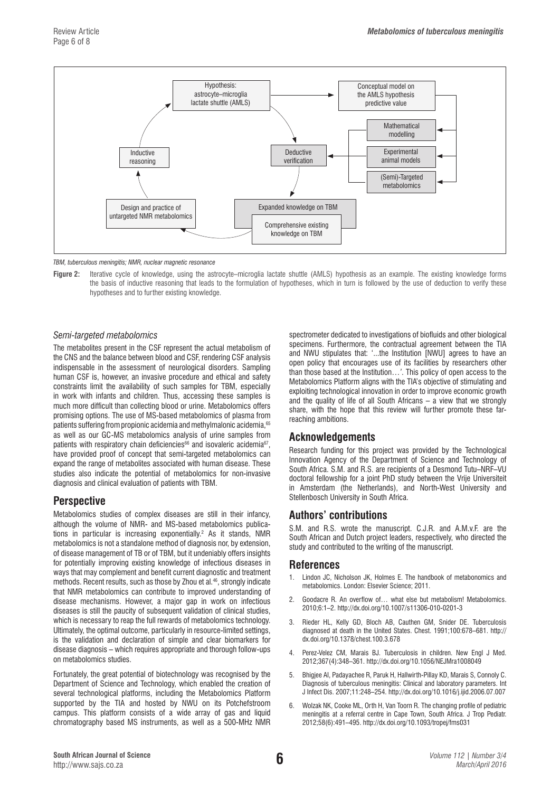

*TBM, tuberculous meningitis; NMR, nuclear magnetic resonance*

**Figure 2:** Iterative cycle of knowledge, using the astrocyte–microglia lactate shuttle (AMLS) hypothesis as an example. The existing knowledge forms the basis of inductive reasoning that leads to the formulation of hypotheses, which in turn is followed by the use of deduction to verify these hypotheses and to further existing knowledge.

#### *Semi-targeted metabolomics*

The metabolites present in the CSF represent the actual metabolism of the CNS and the balance between blood and CSF, rendering CSF analysis indispensable in the assessment of neurological disorders. Sampling human CSF is, however, an invasive procedure and ethical and safety constraints limit the availability of such samples for TBM, especially in work with infants and children. Thus, accessing these samples is much more difficult than collecting blood or urine. Metabolomics offers promising options. The use of MS-based metabolomics of plasma from patients suffering from propionic acidemia and methylmalonic acidemia, 65 as well as our GC-MS metabolomics analysis of urine samples from patients with respiratory chain deficiencies<sup>66</sup> and isovaleric acidemia<sup>67</sup>, have provided proof of concept that semi-targeted metabolomics can expand the range of metabolites associated with human disease. These studies also indicate the potential of metabolomics for non-invasive diagnosis and clinical evaluation of patients with TBM.

# **Perspective**

Metabolomics studies of complex diseases are still in their infancy, although the volume of NMR- and MS-based metabolomics publications in particular is increasing exponentially.<sup>2</sup> As it stands, NMR metabolomics is not a standalone method of diagnosis nor, by extension, of disease management of TB or of TBM, but it undeniably offers insights for potentially improving existing knowledge of infectious diseases in ways that may complement and benefit current diagnostic and treatment methods. Recent results, such as those by Zhou et al.<sup>46</sup>, strongly indicate that NMR metabolomics can contribute to improved understanding of disease mechanisms. However, a major gap in work on infectious diseases is still the paucity of subsequent validation of clinical studies, which is necessary to reap the full rewards of metabolomics technology. Ultimately, the optimal outcome, particularly in resource-limited settings, is the validation and declaration of simple and clear biomarkers for disease diagnosis – which requires appropriate and thorough follow-ups on metabolomics studies.

Fortunately, the great potential of biotechnology was recognised by the Department of Science and Technology, which enabled the creation of several technological platforms, including the Metabolomics Platform supported by the TIA and hosted by NWU on its Potchefstroom campus. This platform consists of a wide array of gas and liquid chromatography based MS instruments, as well as a 500-MHz NMR

spectrometer dedicated to investigations of biofluids and other biological specimens. Furthermore, the contractual agreement between the TIA and NWU stipulates that: '...the Institution [NWU] agrees to have an open policy that encourages use of its facilities by researchers other than those based at the Institution…*'*. This policy of open access to the Metabolomics Platform aligns with the TIA's objective of stimulating and exploiting technological innovation in order to improve economic growth and the quality of life of all South Africans – a view that we strongly share, with the hope that this review will further promote these farreaching ambitions.

# **Acknowledgements**

Research funding for this project was provided by the Technological Innovation Agency of the Department of Science and Technology of South Africa. S.M. and R.S. are recipients of a Desmond Tutu–NRF–VU doctoral fellowship for a joint PhD study between the Vrije Universiteit in Amsterdam (the Netherlands), and North-West University and Stellenbosch University in South Africa.

### **Authors' contributions**

S.M. and R.S. wrote the manuscript. C.J.R. and A.M.v.F. are the South African and Dutch project leaders, respectively, who directed the study and contributed to the writing of the manuscript.

#### **References**

- 1. Lindon JC, Nicholson JK, Holmes E. The handbook of metabonomics and metabolomics. London: Elsevier Science; 2011.
- 2. Goodacre R. An overflow of… what else but metabolism! Metabolomics. 2010;6:1–2. [http://dx.doi.org/10.1007/s11306-010-0201-3](http://dx.doi.org/10.1007/s11306-010-0201-3
)
- 3. Rieder HL, Kelly GD, Bloch AB, Cauthen GM, Snider DE. Tuberculosis diagnosed at death in the United States. Chest. 1991;100:678–681. [http://](http://dx.doi.org/10.1378/chest.100.3.678) [dx.doi.org/10.1378/chest.100.3.678](http://dx.doi.org/10.1378/chest.100.3.678)
- 4. Perez-Velez CM, Marais BJ. Tuberculosis in children. New Engl J Med. 2012;367(4):348–361. <http://dx.doi.org/10.1056/NEJMra1008049>
- 5. Bhigjee AI, Padayachee R, Paruk H, Hallwirth-Pillay KD, Marais S, Connoly C. Diagnosis of tuberculous meningitis: Clinical and laboratory parameters. Int J Infect Dis. 2007;11:248–254.<http://dx.doi.org/10.1016/j.ijid.2006.07.007>
- 6. Wolzak NK, Cooke ML, Orth H, Van Toorn R. The changing profile of pediatric meningitis at a referral centre in Cape Town, South Africa. J Trop Pediatr. 2012;58(6):491–495.<http://dx.doi.org/10.1093/tropej/fms031>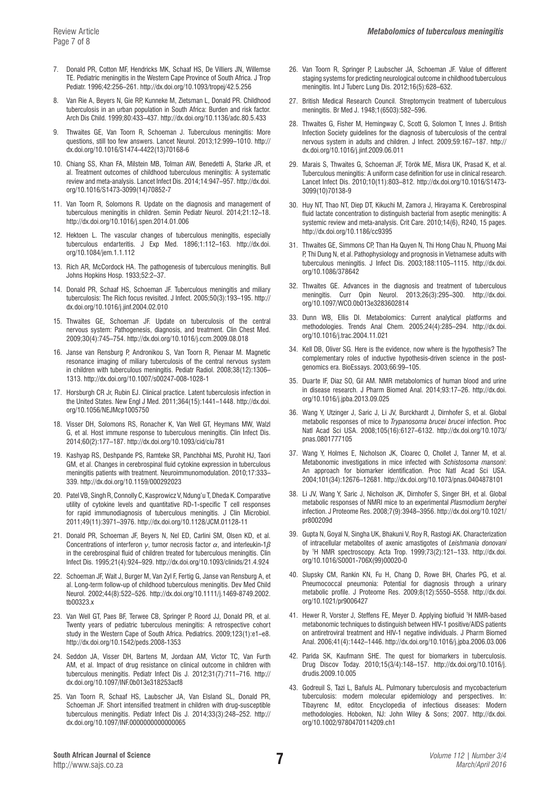- 7. Donald PR, Cotton MF, Hendricks MK, Schaaf HS, De Villiers JN, Willemse TE. Pediatric meningitis in the Western Cape Province of South Africa. J Trop Pediatr. 1996;42:256–261.<http://dx.doi.org/10.1093/tropej/42.5.256>
- 8. Van Rie A, Beyers N, Gie RP, Kunneke M, Zietsman L, Donald PR. Childhood tuberculosis in an urban population in South Africa: Burden and risk factor. Arch Dis Child. 1999;80:433–437. <http://dx.doi.org/10.1136/adc.80.5.433>
- 9. Thwaites GE, Van Toorn R, Schoeman J. Tuberculous meningitis: More questions, still too few answers. Lancet Neurol. 2013;12:999–1010. [http://](http://dx.doi.org/10.1016/S1474-4422(13)70168-6
) [dx.doi.org/10.1016/S1474-4422\(13\)70168-6](http://dx.doi.org/10.1016/S1474-4422(13)70168-6
)
- 10. Chiang SS, Khan FA, Milstein MB, Tolman AW, Benedetti A, Starke JR, et al. Treatment outcomes of childhood tuberculous meningitis: A systematic review and meta-analysis. Lancet Infect Dis. 2014;14:947–957. [http://dx.doi.](http://dx.doi.org/10.1016/S1473-3099(14)70852-7
) [org/10.1016/S1473-3099\(14\)70852-7](http://dx.doi.org/10.1016/S1473-3099(14)70852-7
)
- 11. Van Toorn R, Solomons R. Update on the diagnosis and management of tuberculous meningitis in children. Semin Pediatr Neurol. 2014;21:12–18. <http://dx.doi.org/10.1016/j.spen.2014.01.006>
- 12. Hektoen L. The vascular changes of tuberculous meningitis, especially tuberculous endarteritis. J Exp Med. 1896;1:112–163. [http://dx.doi.](http://dx.doi.org/10.1084/jem.1.1.112) [org/10.1084/jem.1.1.112](http://dx.doi.org/10.1084/jem.1.1.112)
- 13. Rich AR, McCordock HA. The pathogenesis of tuberculous meningitis. Bull Johns Hopkins Hosp. 1933;52:2–37.
- 14. Donald PR, Schaaf HS, Schoeman JF. Tuberculous meningitis and miliary tuberculosis: The Rich focus revisited. J Infect. 2005;50(3):193–195. [http://](http://dx.doi.org/10.1016/j.jinf.2004.02.010) [dx.doi.org/10.1016/j.jinf.2004.02.010](http://dx.doi.org/10.1016/j.jinf.2004.02.010)
- 15. Thwaites GE, Schoeman JF. Update on tuberculosis of the central nervous system: Pathogenesis, diagnosis, and treatment. Clin Chest Med. 2009;30(4):745–754.<http://dx.doi.org/10.1016/j.ccm.2009.08.018>
- 16. Janse van Rensburg P, Andronikou S, Van Toorn R, Pienaar M. Magnetic resonance imaging of miliary tuberculosis of the central nervous system in children with tuberculous meningitis. Pediatr Radiol. 2008;38(12):1306– 1313. [http://dx.doi.org/10.1007/s00247-008-1028-1](http://dx.doi.org/10.1007/s00247-008-1028-1
)
- 17. Horsburgh CR Jr, Rubin EJ. Clinical practice. Latent tuberculosis infection in the United States. New Engl J Med. 2011;364(15):1441–1448. [http://dx.doi.](http://dx.doi.org/10.1056/NEJMcp1005750) [org/10.1056/NEJMcp1005750](http://dx.doi.org/10.1056/NEJMcp1005750)
- 18. Visser DH, Solomons RS, Ronacher K, Van Well GT, Heymans MW, Walzl G, et al. Host immune response to tuberculous meningitis. Clin Infect Dis. 2014;60(2):177–187.<http://dx.doi.org/10.1093/cid/ciu781>
- 19. Kashyap RS, Deshpande PS, Ramteke SR, Panchbhai MS, Purohit HJ, Taori GM, et al. Changes in cerebrospinal fluid cytokine expression in tuberculous meningitis patients with treatment. Neuroimmunomodulation. 2010;17:333– 339. <http://dx.doi.org/10.1159/000292023>
- 20. Patel VB, Singh R, Connolly C, Kasprowicz V, Ndung'u T, Dheda K. Comparative utility of cytokine levels and quantitative RD-1-specific T cell responses for rapid immunodiagnosis of tuberculous meningitis. J Clin Microbiol. 2011;49(11):3971–3976. [http://dx.doi.org/10.1128/JCM.01128-11](http://dx.doi.org/10.1128/JCM.01128-11
)
- 21. Donald PR, Schoeman JF, Beyers N, Nel ED, Carlini SM, Olsen KD, et al. Concentrations of interferon *γ*, tumor necrosis factor *α*, and interleukin-1*β* in the cerebrospinal fluid of children treated for tuberculous meningitis. Clin Infect Dis. 1995;21(4):924–929. <http://dx.doi.org/10.1093/clinids/21.4.924>
- 22. Schoeman JF, Wait J, Burger M, Van Zyl F, Fertig G, Janse van Rensburg A, et al. Long-term follow-up of childhood tuberculous meningitis. Dev Med Child Neurol. 2002;44(8):522–526. [http://dx.doi.org/10.1111/j.1469-8749.2002.](http://dx.doi.org/10.1111/j.1469-8749.2002.tb00323.x
) [tb00323.x](http://dx.doi.org/10.1111/j.1469-8749.2002.tb00323.x
)
- 23. Van Well GT, Paes BF, Terwee CB, Springer P, Roord JJ, Donald PR, et al. Twenty years of pediatric tuberculous meningitis: A retrospective cohort study in the Western Cape of South Africa. Pediatrics. 2009;123(1):e1–e8. [http://dx.doi.org/10.1542/peds.2008-1353](http://dx.doi.org/10.1542/peds.2008-1353
)
- 24. Seddon JA, Visser DH, Bartens M, Jordaan AM, Victor TC, Van Furth AM, et al. Impact of drug resistance on clinical outcome in children with tuberculous meningitis. Pediatr Infect Dis J. 2012;31(7):711–716. [http://](http://dx.doi.org/10.1097/INF.0b013e318253acf8) [dx.doi.org/10.1097/INF.0b013e318253acf8](http://dx.doi.org/10.1097/INF.0b013e318253acf8)
- 25. Van Toorn R, Schaaf HS, Laubscher JA, Van Elsland SL, Donald PR, Schoeman JF. Short intensified treatment in children with drug-susceptible tuberculous meningitis. Pediatr Infect Dis J. 2014;33(3):248–252. [http://](http://dx.doi.org/10.1097/INF.0000000000000065) [dx.doi.org/10.1097/INF.0000000000000065](http://dx.doi.org/10.1097/INF.0000000000000065)
- 26. Van Toorn R, Springer P, Laubscher JA, Schoeman JF. Value of different staging systems for predicting neurological outcome in childhood tuberculous meningitis. Int J Tuberc Lung Dis. 2012;16(5):628–632.
- 27. British Medical Research Council. Streptomycin treatment of tuberculous meningitis. Br Med J. 1948;1(6503):582–596.
- 28. Thwaites G, Fisher M, Hemingway C, Scott G, Solomon T, Innes J. British Infection Society guidelines for the diagnosis of tuberculosis of the central nervous system in adults and children. J Infect. 2009;59:167–187. [http://](http://dx.doi.org/10.1016/j.jinf.2009.06.011) [dx.doi.org/10.1016/j.jinf.2009.06.011](http://dx.doi.org/10.1016/j.jinf.2009.06.011)
- 29. Marais S, Thwaites G, Schoeman JF, Török ME, Misra UK, Prasad K, et al. Tuberculous meningitis: A uniform case definition for use in clinical research. Lancet Infect Dis. 2010;10(11):803–812. [http://dx.doi.org/10.1016/S1473-](http://dx.doi.org/10.1016/S1473-3099(10)70138-9
) [3099\(10\)70138-9](http://dx.doi.org/10.1016/S1473-3099(10)70138-9
)
- 30. Huy NT, Thao NT, Diep DT, Kikuchi M, Zamora J, Hirayama K. Cerebrospinal fluid lactate concentration to distinguish bacterial from aseptic meningitis: A systemic review and meta-analysis. Crit Care. 2010;14(6), R240, 15 pages. <http://dx.doi.org/10.1186/cc9395>
- 31. Thwaites GE, Simmons CP, Than Ha Quyen N, Thi Hong Chau N, Phuong Mai P, Thi Dung N, et al. Pathophysiology and prognosis in Vietnamese adults with tuberculous meningitis. J Infect Dis. 2003;188:1105–1115. [http://dx.doi.](http://dx.doi.org/10.1086/378642) [org/10.1086/378642](http://dx.doi.org/10.1086/378642)
- 32. Thwaites GE. Advances in the diagnosis and treatment of tuberculous meningitis. Curr Opin Neurol. 2013;26(3):295–300. [http://dx.doi.](http://dx.doi.org/10.1097/WCO.0b013e3283602814) [org/10.1097/WCO.0b013e3283602814](http://dx.doi.org/10.1097/WCO.0b013e3283602814)
- 33. Dunn WB, Ellis DI. Metabolomics: Current analytical platforms and methodologies. Trends Anal Chem. 2005;24(4):285–294. [http://dx.doi.](http://dx.doi.org/10.1016/j.trac.2004.11.021) [org/10.1016/j.trac.2004.11.021](http://dx.doi.org/10.1016/j.trac.2004.11.021)
- 34. Kell DB, Oliver SG. Here is the evidence, now where is the hypothesis? The complementary roles of inductive hypothesis-driven science in the postgenomics era. BioEssays. 2003;66:99–105.
- 35. Duarte IF, Diaz SO, Gil AM. NMR metabolomics of human blood and urine in disease research. J Pharm Biomed Anal. 2014;93:17–26. [http://dx.doi.](http://dx.doi.org/10.1016/j.jpba.2013.09.025) [org/10.1016/j.jpba.2013.09.025](http://dx.doi.org/10.1016/j.jpba.2013.09.025)
- 36. Wang Y, Utzinger J, Saric J, Li JV, Burckhardt J, Dirnhofer S, et al. Global metabolic responses of mice to *Trypanosoma brucei brucei* infection. Proc Natl Acad Sci USA. 2008;105(16):6127–6132. [http://dx.doi.org/10.1073/](http://dx.doi.org/10.1073/pnas.0801777105) [pnas.0801777105](http://dx.doi.org/10.1073/pnas.0801777105)
- 37. Wang Y, Holmes E, Nicholson JK, Cloarec O, Chollet J, Tanner M, et al. Metabonomic investigations in mice infected with *Schistosoma mansoni*: An approach for biomarker identification. Proc Natl Acad Sci USA. 2004;101(34):12676–12681. <http://dx.doi.org/10.1073/pnas.0404878101>
- 38. Li JV, Wang Y, Saric J, Nicholson JK, Dirnhofer S, Singer BH, et al. Global metabolic responses of NMRI mice to an experimental *Plasmodium berghei* infection. J Proteome Res. 2008;7(9):3948–3956. [http://dx.doi.org/10.1021/](http://dx.doi.org/10.1021/pr800209d) [pr800209d](http://dx.doi.org/10.1021/pr800209d)
- 39. Gupta N, Goyal N, Singha UK, Bhakuni V, Roy R, Rastogi AK. Characterization of intracellular metabolites of axenic amastigotes of *Leishmania donovani* by 1 H NMR spectroscopy. Acta Trop. 1999;73(2):121–133. [http://dx.doi.](http://dx.doi.org/10.1016/S0001-706X(99)00020-0
) [org/10.1016/S0001-706X\(99\)00020-0](http://dx.doi.org/10.1016/S0001-706X(99)00020-0
)
- 40. Slupsky CM, Rankin KN, Fu H, Chang D, Rowe BH, Charles PG, et al. Pneumococcal pneumonia: Potential for diagnosis through a urinary metabolic profile. J Proteome Res. 2009;8(12):5550–5558. [http://dx.doi.](http://dx.doi.org/10.1021/pr9006427) [org/10.1021/pr9006427](http://dx.doi.org/10.1021/pr9006427)
- 41. Hewer R, Vorster J, Steffens FE, Meyer D. Applying biofluid 1 H NMR-based metabonomic techniques to distinguish between HIV-1 positive/AIDS patients on antiretroviral treatment and HIV-1 negative individuals. J Pharm Biomed Anal. 2006;41(4):1442–1446. <http://dx.doi.org/10.1016/j.jpba.2006.03.006>
- 42. Parida SK, Kaufmann SHE. The quest for biomarkers in tuberculosis. Drug Discov Today. 2010;15(3/4):148–157. [http://dx.doi.org/10.1016/j.](http://dx.doi.org/10.1016/j.drudis.2009.10.005) [drudis.2009.10.005](http://dx.doi.org/10.1016/j.drudis.2009.10.005)
- 43. Godreuil S, Tazi L, Bañuls AL. Pulmonary tuberculosis and mycobacterium tuberculosis: modern molecular epidemiology and perspectives. In: Tibayrenc M, editor. Encyclopedia of infectious diseases: Modern methodologies. Hoboken, NJ: John Wiley & Sons; 2007. [http://dx.doi.](http://dx.doi.org/10.1002/9780470114209.ch1) [org/10.1002/9780470114209.ch1](http://dx.doi.org/10.1002/9780470114209.ch1)